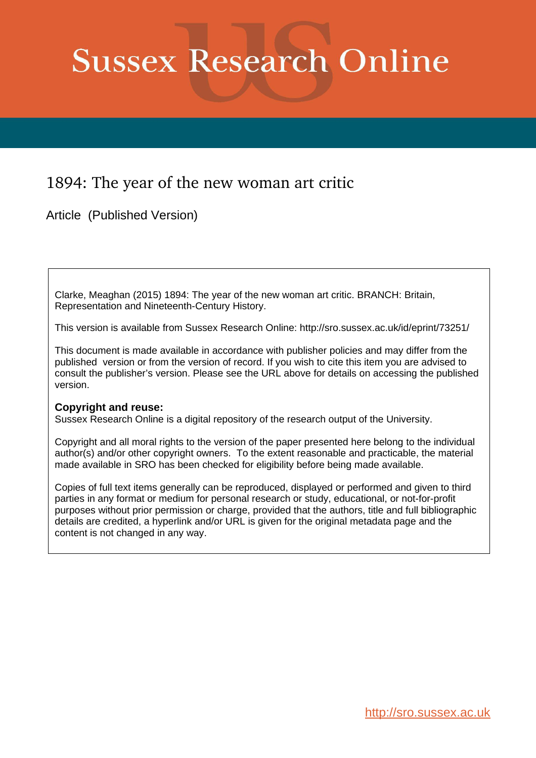# **Sussex Research Online**

# 1894: The year of the new woman art critic

Article (Published Version)

Clarke, Meaghan (2015) 1894: The year of the new woman art critic. BRANCH: Britain, Representation and Nineteenth-Century History.

This version is available from Sussex Research Online: http://sro.sussex.ac.uk/id/eprint/73251/

This document is made available in accordance with publisher policies and may differ from the published version or from the version of record. If you wish to cite this item you are advised to consult the publisher's version. Please see the URL above for details on accessing the published version.

# **Copyright and reuse:**

Sussex Research Online is a digital repository of the research output of the University.

Copyright and all moral rights to the version of the paper presented here belong to the individual author(s) and/or other copyright owners. To the extent reasonable and practicable, the material made available in SRO has been checked for eligibility before being made available.

Copies of full text items generally can be reproduced, displayed or performed and given to third parties in any format or medium for personal research or study, educational, or not-for-profit purposes without prior permission or charge, provided that the authors, title and full bibliographic details are credited, a hyperlink and/or URL is given for the original metadata page and the content is not changed in any way.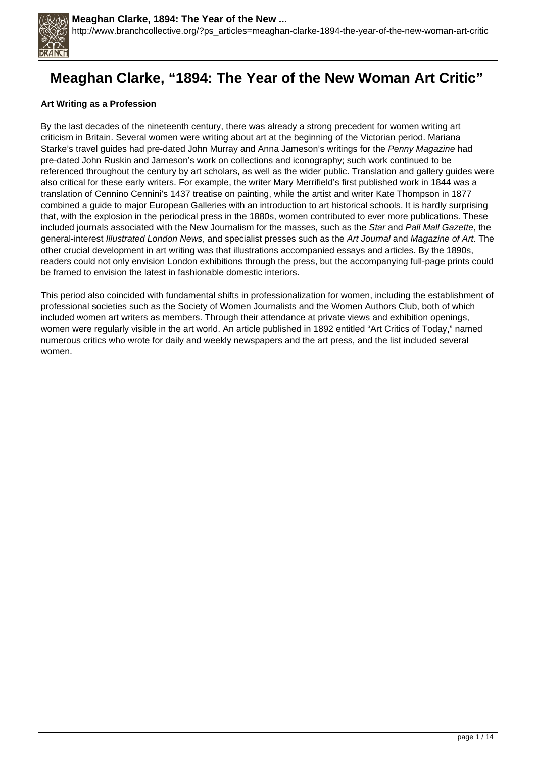

# **Meaghan Clarke, "1894: The Year of the New Woman Art Critic"**

# **Art Writing as a Profession**

By the last decades of the nineteenth century, there was already a strong precedent for women writing art criticism in Britain. Several women were writing about art at the beginning of the Victorian period. Mariana Starke's travel guides had pre-dated John Murray and Anna Jameson's writings for the Penny Magazine had pre-dated John Ruskin and Jameson's work on collections and iconography; such work continued to be referenced throughout the century by art scholars, as well as the wider public. Translation and gallery guides were also critical for these early writers. For example, the writer Mary Merrifield's first published work in 1844 was a translation of Cennino Cennini's 1437 treatise on painting, while the artist and writer Kate Thompson in 1877 combined a guide to major European Galleries with an introduction to art historical schools. It is hardly surprising that, with the explosion in the periodical press in the 1880s, women contributed to ever more publications. These included journals associated with the New Journalism for the masses, such as the Star and Pall Mall Gazette, the general-interest Illustrated London News, and specialist presses such as the Art Journal and Magazine of Art. The other crucial development in art writing was that illustrations accompanied essays and articles. By the 1890s, readers could not only envision London exhibitions through the press, but the accompanying full-page prints could be framed to envision the latest in fashionable domestic interiors.

This period also coincided with fundamental shifts in professionalization for women, including the establishment of professional societies such as the Society of Women Journalists and the Women Authors Club, both of which included women art writers as members. Through their attendance at private views and exhibition openings, women were regularly visible in the art world. An article published in 1892 entitled "Art Critics of Today," named numerous critics who wrote for daily and weekly newspapers and the art press, and the list included several women.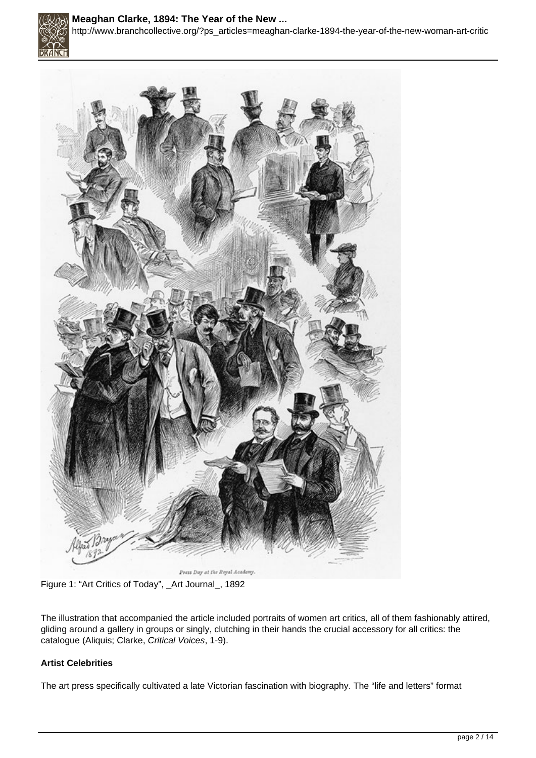

http://www.branchcollective.org/?ps\_articles=meaghan-clarke-1894-the-year-of-the-new-woman-art-critic



Figure 1: "Art Critics of Today", \_Art Journal\_, 1892

The illustration that accompanied the article included portraits of women art critics, all of them fashionably attired, gliding around a gallery in groups or singly, clutching in their hands the crucial accessory for all critics: the catalogue (Aliquis; Clarke, Critical Voices, 1-9).

# **Artist Celebrities**

The art press specifically cultivated a late Victorian fascination with biography. The "life and letters" format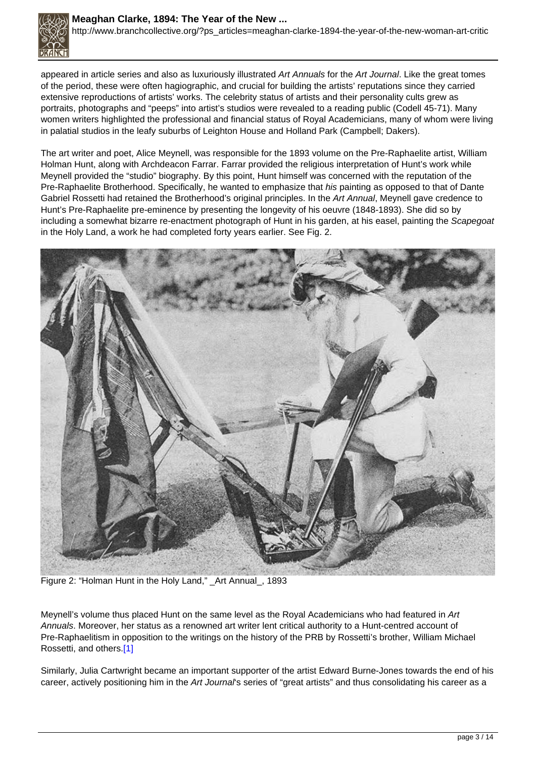

http://www.branchcollective.org/?ps\_articles=meaghan-clarke-1894-the-year-of-the-new-woman-art-critic

appeared in article series and also as luxuriously illustrated Art Annuals for the Art Journal. Like the great tomes of the period, these were often hagiographic, and crucial for building the artists' reputations since they carried extensive reproductions of artists' works. The celebrity status of artists and their personality cults grew as portraits, photographs and "peeps" into artist's studios were revealed to a reading public (Codell 45-71). Many women writers highlighted the professional and financial status of Royal Academicians, many of whom were living in palatial studios in the leafy suburbs of Leighton House and Holland Park (Campbell; Dakers).

The art writer and poet, Alice Meynell, was responsible for the 1893 volume on the Pre-Raphaelite artist, William Holman Hunt, along with Archdeacon Farrar. Farrar provided the religious interpretation of Hunt's work while Meynell provided the "studio" biography. By this point, Hunt himself was concerned with the reputation of the Pre-Raphaelite Brotherhood. Specifically, he wanted to emphasize that his painting as opposed to that of Dante Gabriel Rossetti had retained the Brotherhood's original principles. In the Art Annual, Meynell gave credence to Hunt's Pre-Raphaelite pre-eminence by presenting the longevity of his oeuvre (1848-1893). She did so by including a somewhat bizarre re-enactment photograph of Hunt in his garden, at his easel, painting the Scapegoat in the Holy Land, a work he had completed forty years earlier. See Fig. 2.



Figure 2: "Holman Hunt in the Holy Land," \_Art Annual\_, 1893

Meynell's volume thus placed Hunt on the same level as the Royal Academicians who had featured in Art Annuals. Moreover, her status as a renowned art writer lent critical authority to a Hunt-centred account of Pre-Raphaelitism in opposition to the writings on the history of the PRB by Rossetti's brother, William Michael Rossetti, and others.[1]

Similarly, Julia Cartwright became an important supporter of the artist Edward Burne-Jones towards the end of his career, actively positioning him in the Art Journal's series of "great artists" and thus consolidating his career as a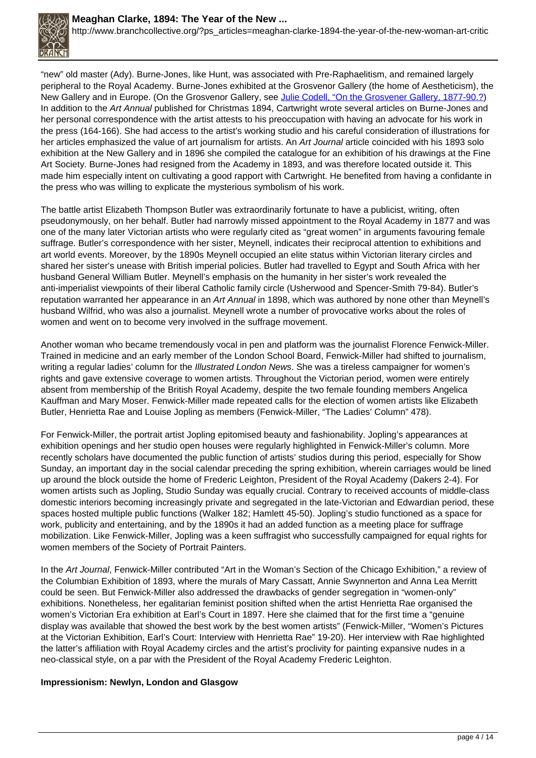

http://www.branchcollective.org/?ps\_articles=meaghan-clarke-1894-the-year-of-the-new-woman-art-critic

"new" old master (Ady). Burne-Jones, like Hunt, was associated with Pre-Raphaelitism, and remained largely peripheral to the Royal Academy. Burne-Jones exhibited at the Grosvenor Gallery (the home of Aestheticism), the New Gallery and in Europe. (On the Grosvenor Gallery, see *Julie Codell*, "On the Grosvener Gallery, 1877-90.?) In addition to the Art Annual published for Christmas 1894, Cartwright wrote several articles on Burne-Jones and her personal correspondence with the artist attests to his preoccupation with having an advocate for his work in the press (164-166). She had access to the artist's working studio and his careful consideration of illustrations for her articles emphasized the value of art journalism for artists. An Art Journal article coincided with his 1893 solo exhibition at the New Gallery and in 1896 she compiled the catalogue for an exhibition of his drawings at the Fine Art Society. Burne-Jones had resigned from the Academy in 1893, and was therefore located outside it. This made him especially intent on cultivating a good rapport with Cartwright. He benefited from having a confidante in the press who was willing to explicate the mysterious symbolism of his work.

The battle artist Elizabeth Thompson Butler was extraordinarily fortunate to have a publicist, writing, often pseudonymously, on her behalf. Butler had narrowly missed appointment to the Royal Academy in 1877 and was one of the many later Victorian artists who were regularly cited as "great women" in arguments favouring female suffrage. Butler's correspondence with her sister, Meynell, indicates their reciprocal attention to exhibitions and art world events. Moreover, by the 1890s Meynell occupied an elite status within Victorian literary circles and shared her sister's unease with British imperial policies. Butler had travelled to Egypt and South Africa with her husband General William Butler. Meynell's emphasis on the humanity in her sister's work revealed the anti-imperialist viewpoints of their liberal Catholic family circle (Usherwood and Spencer-Smith 79-84). Butler's reputation warranted her appearance in an Art Annual in 1898, which was authored by none other than Meynell's husband Wilfrid, who was also a journalist. Meynell wrote a number of provocative works about the roles of women and went on to become very involved in the suffrage movement.

Another woman who became tremendously vocal in pen and platform was the journalist Florence Fenwick-Miller. Trained in medicine and an early member of the London School Board, Fenwick-Miller had shifted to journalism, writing a regular ladies' column for the Illustrated London News. She was a tireless campaigner for women's rights and gave extensive coverage to women artists. Throughout the Victorian period, women were entirely absent from membership of the British Royal Academy, despite the two female founding members Angelica Kauffman and Mary Moser. Fenwick-Miller made repeated calls for the election of women artists like Elizabeth Butler, Henrietta Rae and Louise Jopling as members (Fenwick-Miller, "The Ladies' Column" 478).

For Fenwick-Miller, the portrait artist Jopling epitomised beauty and fashionability. Jopling's appearances at exhibition openings and her studio open houses were regularly highlighted in Fenwick-Miller's column. More recently scholars have documented the public function of artists' studios during this period, especially for Show Sunday, an important day in the social calendar preceding the spring exhibition, wherein carriages would be lined up around the block outside the home of Frederic Leighton, President of the Royal Academy (Dakers 2-4). For women artists such as Jopling, Studio Sunday was equally crucial. Contrary to received accounts of middle-class domestic interiors becoming increasingly private and segregated in the late-Victorian and Edwardian period, these spaces hosted multiple public functions (Walker 182; Hamlett 45-50). Jopling's studio functioned as a space for work, publicity and entertaining, and by the 1890s it had an added function as a meeting place for suffrage mobilization. Like Fenwick-Miller, Jopling was a keen suffragist who successfully campaigned for equal rights for women members of the Society of Portrait Painters.

In the Art Journal, Fenwick-Miller contributed "Art in the Woman's Section of the Chicago Exhibition," a review of the Columbian Exhibition of 1893, where the murals of Mary Cassatt, Annie Swynnerton and Anna Lea Merritt could be seen. But Fenwick-Miller also addressed the drawbacks of gender segregation in "women-only" exhibitions. Nonetheless, her egalitarian feminist position shifted when the artist Henrietta Rae organised the women's Victorian Era exhibition at Earl's Court in 1897. Here she claimed that for the first time a "genuine display was available that showed the best work by the best women artists" (Fenwick-Miller, "Women's Pictures at the Victorian Exhibition, Earl's Court: Interview with Henrietta Rae" 19-20). Her interview with Rae highlighted the latter's affiliation with Royal Academy circles and the artist's proclivity for painting expansive nudes in a neo-classical style, on a par with the President of the Royal Academy Frederic Leighton.

#### **Impressionism: Newlyn, London and Glasgow**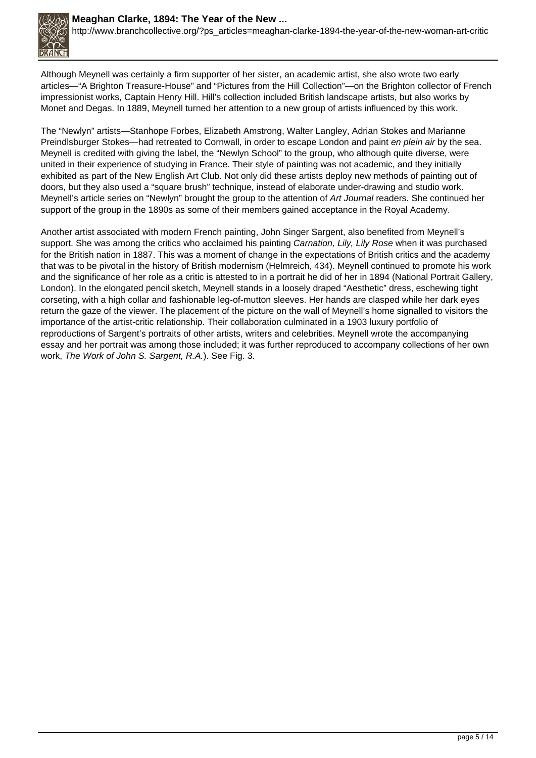

Although Meynell was certainly a firm supporter of her sister, an academic artist, she also wrote two early articles—"A Brighton Treasure-House" and "Pictures from the Hill Collection"—on the Brighton collector of French impressionist works, Captain Henry Hill. Hill's collection included British landscape artists, but also works by Monet and Degas. In 1889, Meynell turned her attention to a new group of artists influenced by this work.

The "Newlyn" artists—Stanhope Forbes, Elizabeth Amstrong, Walter Langley, Adrian Stokes and Marianne Preindlsburger Stokes—had retreated to Cornwall, in order to escape London and paint en plein air by the sea. Meynell is credited with giving the label, the "Newlyn School" to the group, who although quite diverse, were united in their experience of studying in France. Their style of painting was not academic, and they initially exhibited as part of the New English Art Club. Not only did these artists deploy new methods of painting out of doors, but they also used a "square brush" technique, instead of elaborate under-drawing and studio work. Meynell's article series on "Newlyn" brought the group to the attention of Art Journal readers. She continued her support of the group in the 1890s as some of their members gained acceptance in the Royal Academy.

Another artist associated with modern French painting, John Singer Sargent, also benefited from Meynell's support. She was among the critics who acclaimed his painting Carnation, Lily, Lily Rose when it was purchased for the British nation in 1887. This was a moment of change in the expectations of British critics and the academy that was to be pivotal in the history of British modernism (Helmreich, 434). Meynell continued to promote his work and the significance of her role as a critic is attested to in a portrait he did of her in 1894 (National Portrait Gallery, London). In the elongated pencil sketch, Meynell stands in a loosely draped "Aesthetic" dress, eschewing tight corseting, with a high collar and fashionable leg-of-mutton sleeves. Her hands are clasped while her dark eyes return the gaze of the viewer. The placement of the picture on the wall of Meynell's home signalled to visitors the importance of the artist-critic relationship. Their collaboration culminated in a 1903 luxury portfolio of reproductions of Sargent's portraits of other artists, writers and celebrities. Meynell wrote the accompanying essay and her portrait was among those included; it was further reproduced to accompany collections of her own work, The Work of John S. Sargent, R.A.). See Fig. 3.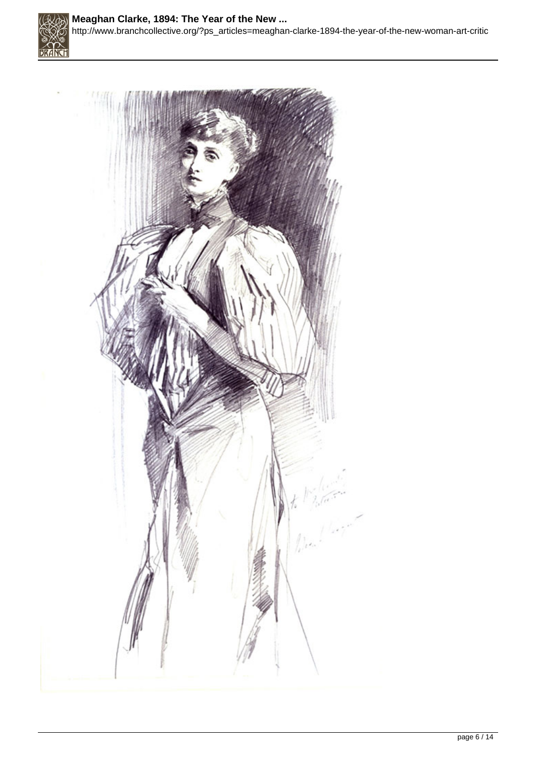

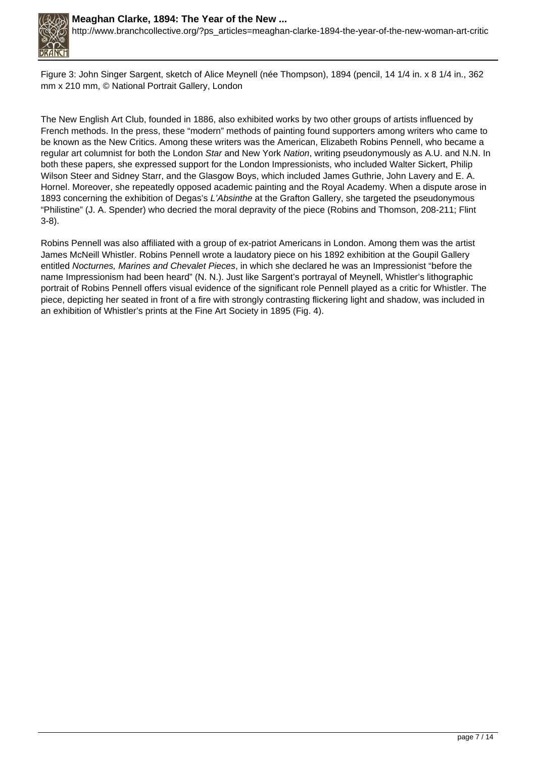

Figure 3: John Singer Sargent, sketch of Alice Meynell (née Thompson), 1894 (pencil, 14 1/4 in. x 8 1/4 in., 362 mm x 210 mm, © National Portrait Gallery, London

The New English Art Club, founded in 1886, also exhibited works by two other groups of artists influenced by French methods. In the press, these "modern" methods of painting found supporters among writers who came to be known as the New Critics. Among these writers was the American, Elizabeth Robins Pennell, who became a regular art columnist for both the London Star and New York Nation, writing pseudonymously as A.U. and N.N. In both these papers, she expressed support for the London Impressionists, who included Walter Sickert, Philip Wilson Steer and Sidney Starr, and the Glasgow Boys, which included James Guthrie, John Lavery and E. A. Hornel. Moreover, she repeatedly opposed academic painting and the Royal Academy. When a dispute arose in 1893 concerning the exhibition of Degas's L'Absinthe at the Grafton Gallery, she targeted the pseudonymous "Philistine" (J. A. Spender) who decried the moral depravity of the piece (Robins and Thomson, 208-211; Flint 3-8).

Robins Pennell was also affiliated with a group of ex-patriot Americans in London. Among them was the artist James McNeill Whistler. Robins Pennell wrote a laudatory piece on his 1892 exhibition at the Goupil Gallery entitled Nocturnes, Marines and Chevalet Pieces, in which she declared he was an Impressionist "before the name Impressionism had been heard" (N. N.). Just like Sargent's portrayal of Meynell, Whistler's lithographic portrait of Robins Pennell offers visual evidence of the significant role Pennell played as a critic for Whistler. The piece, depicting her seated in front of a fire with strongly contrasting flickering light and shadow, was included in an exhibition of Whistler's prints at the Fine Art Society in 1895 (Fig. 4).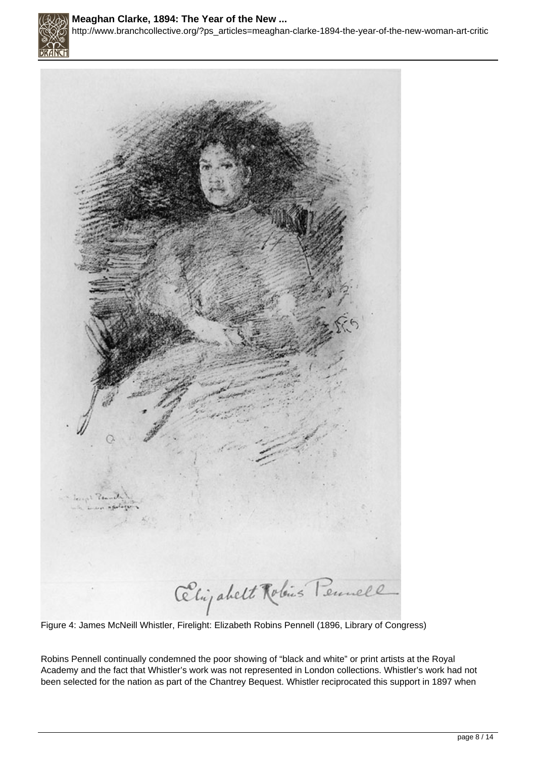



Figure 4: James McNeill Whistler, Firelight: Elizabeth Robins Pennell (1896, Library of Congress)

Robins Pennell continually condemned the poor showing of "black and white" or print artists at the Royal Academy and the fact that Whistler's work was not represented in London collections. Whistler's work had not been selected for the nation as part of the Chantrey Bequest. Whistler reciprocated this support in 1897 when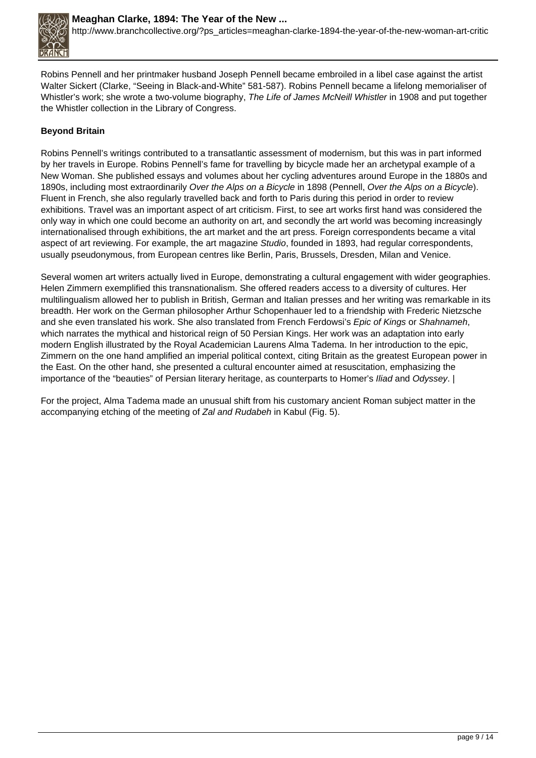

http://www.branchcollective.org/?ps\_articles=meaghan-clarke-1894-the-year-of-the-new-woman-art-critic

Robins Pennell and her printmaker husband Joseph Pennell became embroiled in a libel case against the artist Walter Sickert (Clarke, "Seeing in Black-and-White" 581-587). Robins Pennell became a lifelong memorialiser of Whistler's work; she wrote a two-volume biography, The Life of James McNeill Whistler in 1908 and put together the Whistler collection in the Library of Congress.

# **Beyond Britain**

Robins Pennell's writings contributed to a transatlantic assessment of modernism, but this was in part informed by her travels in Europe. Robins Pennell's fame for travelling by bicycle made her an archetypal example of a New Woman. She published essays and volumes about her cycling adventures around Europe in the 1880s and 1890s, including most extraordinarily Over the Alps on a Bicycle in 1898 (Pennell, Over the Alps on a Bicycle). Fluent in French, she also regularly travelled back and forth to Paris during this period in order to review exhibitions. Travel was an important aspect of art criticism. First, to see art works first hand was considered the only way in which one could become an authority on art, and secondly the art world was becoming increasingly internationalised through exhibitions, the art market and the art press. Foreign correspondents became a vital aspect of art reviewing. For example, the art magazine Studio, founded in 1893, had regular correspondents, usually pseudonymous, from European centres like Berlin, Paris, Brussels, Dresden, Milan and Venice.

Several women art writers actually lived in Europe, demonstrating a cultural engagement with wider geographies. Helen Zimmern exemplified this transnationalism. She offered readers access to a diversity of cultures. Her multilingualism allowed her to publish in British, German and Italian presses and her writing was remarkable in its breadth. Her work on the German philosopher Arthur Schopenhauer led to a friendship with Frederic Nietzsche and she even translated his work. She also translated from French Ferdowsi's Epic of Kings or Shahnameh, which narrates the mythical and historical reign of 50 Persian Kings. Her work was an adaptation into early modern English illustrated by the Royal Academician Laurens Alma Tadema. In her introduction to the epic, Zimmern on the one hand amplified an imperial political context, citing Britain as the greatest European power in the East. On the other hand, she presented a cultural encounter aimed at resuscitation, emphasizing the importance of the "beauties" of Persian literary heritage, as counterparts to Homer's Iliad and Odyssey. |

For the project, Alma Tadema made an unusual shift from his customary ancient Roman subject matter in the accompanying etching of the meeting of Zal and Rudabeh in Kabul (Fig. 5).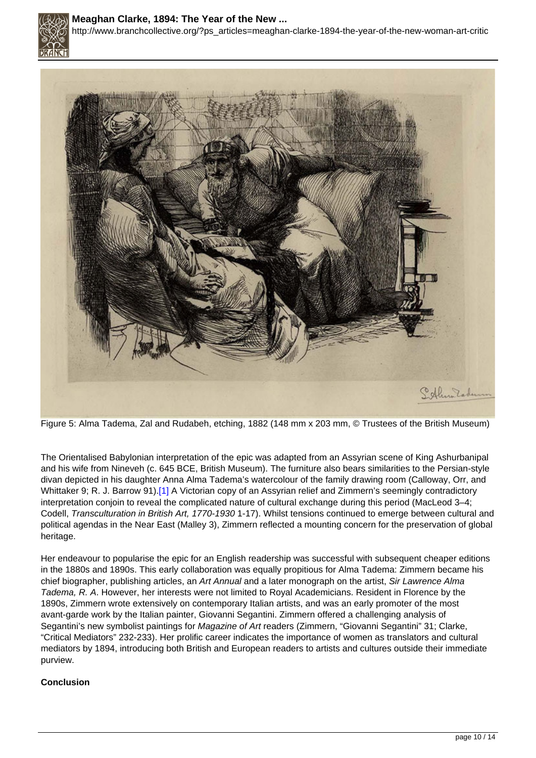

http://www.branchcollective.org/?ps\_articles=meaghan-clarke-1894-the-year-of-the-new-woman-art-critic



Figure 5: Alma Tadema, Zal and Rudabeh, etching, 1882 (148 mm x 203 mm, © Trustees of the British Museum)

The Orientalised Babylonian interpretation of the epic was adapted from an Assyrian scene of King Ashurbanipal and his wife from Nineveh (c. 645 BCE, British Museum). The furniture also bears similarities to the Persian-style divan depicted in his daughter Anna Alma Tadema's watercolour of the family drawing room (Calloway, Orr, and Whittaker 9; R. J. Barrow 91).<sup>[1]</sup> A Victorian copy of an Assyrian relief and Zimmern's seemingly contradictory interpretation conjoin to reveal the complicated nature of cultural exchange during this period (MacLeod 3–4; Codell, Transculturation in British Art, 1770-1930 1-17). Whilst tensions continued to emerge between cultural and political agendas in the Near East (Malley 3), Zimmern reflected a mounting concern for the preservation of global heritage.

Her endeavour to popularise the epic for an English readership was successful with subsequent cheaper editions in the 1880s and 1890s. This early collaboration was equally propitious for Alma Tadema: Zimmern became his chief biographer, publishing articles, an Art Annual and a later monograph on the artist, Sir Lawrence Alma Tadema, R. A. However, her interests were not limited to Royal Academicians. Resident in Florence by the 1890s, Zimmern wrote extensively on contemporary Italian artists, and was an early promoter of the most avant-garde work by the Italian painter, Giovanni Segantini. Zimmern offered a challenging analysis of Segantini's new symbolist paintings for *Magazine of Art* readers (Zimmern, "Giovanni Segantini" 31; Clarke, "Critical Mediators" 232-233). Her prolific career indicates the importance of women as translators and cultural mediators by 1894, introducing both British and European readers to artists and cultures outside their immediate purview.

# **Conclusion**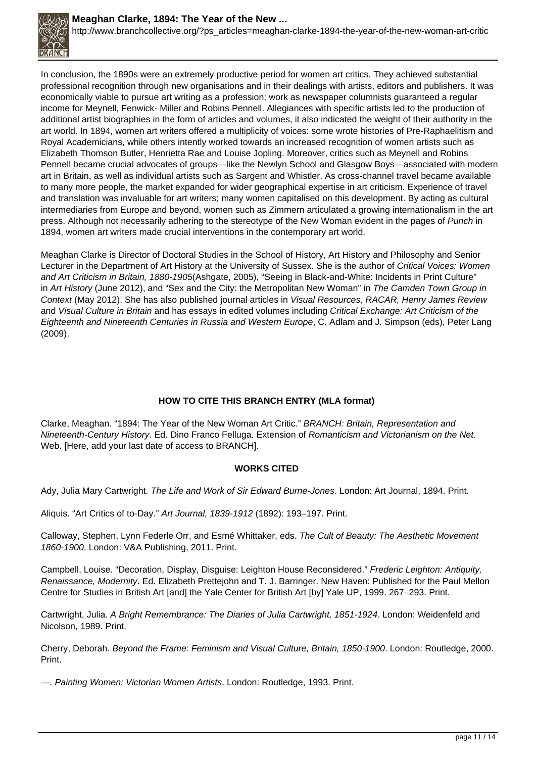

http://www.branchcollective.org/?ps\_articles=meaghan-clarke-1894-the-year-of-the-new-woman-art-critic

In conclusion, the 1890s were an extremely productive period for women art critics. They achieved substantial professional recognition through new organisations and in their dealings with artists, editors and publishers. It was economically viable to pursue art writing as a profession; work as newspaper columnists guaranteed a regular income for Meynell, Fenwick- Miller and Robins Pennell. Allegiances with specific artists led to the production of additional artist biographies in the form of articles and volumes, it also indicated the weight of their authority in the art world. In 1894, women art writers offered a multiplicity of voices: some wrote histories of Pre-Raphaelitism and Royal Academicians, while others intently worked towards an increased recognition of women artists such as Elizabeth Thomson Butler, Henrietta Rae and Louise Jopling. Moreover, critics such as Meynell and Robins Pennell became crucial advocates of groups—like the Newlyn School and Glasgow Boys—associated with modern art in Britain, as well as individual artists such as Sargent and Whistler. As cross-channel travel became available to many more people, the market expanded for wider geographical expertise in art criticism. Experience of travel and translation was invaluable for art writers; many women capitalised on this development. By acting as cultural intermediaries from Europe and beyond, women such as Zimmern articulated a growing internationalism in the art press. Although not necessarily adhering to the stereotype of the New Woman evident in the pages of Punch in 1894, women art writers made crucial interventions in the contemporary art world.

Meaghan Clarke is Director of Doctoral Studies in the School of History, Art History and Philosophy and Senior Lecturer in the Department of Art History at the University of Sussex. She is the author of Critical Voices: Women and Art Criticism in Britain, 1880-1905(Ashgate, 2005), "Seeing in Black-and-White: Incidents in Print Culture" in Art History (June 2012), and "Sex and the City: the Metropolitan New Woman" in The Camden Town Group in Context (May 2012). She has also published journal articles in Visual Resources, RACAR, Henry James Review and Visual Culture in Britain and has essays in edited volumes including Critical Exchange: Art Criticism of the Eighteenth and Nineteenth Centuries in Russia and Western Europe, C. Adlam and J. Simpson (eds), Peter Lang (2009).

# **HOW TO CITE THIS BRANCH ENTRY (MLA format)**

Clarke, Meaghan. "1894: The Year of the New Woman Art Critic." BRANCH: Britain, Representation and Nineteenth-Century History. Ed. Dino Franco Felluga. Extension of Romanticism and Victorianism on the Net. Web. [Here, add your last date of access to BRANCH].

#### **WORKS CITED**

Ady, Julia Mary Cartwright. The Life and Work of Sir Edward Burne-Jones. London: Art Journal, 1894. Print.

Aliquis. "Art Critics of to-Day." Art Journal, 1839-1912 (1892): 193–197. Print.

Calloway, Stephen, Lynn Federle Orr, and Esmé Whittaker, eds. The Cult of Beauty: The Aesthetic Movement 1860-1900. London: V&A Publishing, 2011. Print.

Campbell, Louise. "Decoration, Display, Disguise: Leighton House Reconsidered." Frederic Leighton: Antiquity, Renaissance, Modernity. Ed. Elizabeth Prettejohn and T. J. Barringer. New Haven: Published for the Paul Mellon Centre for Studies in British Art [and] the Yale Center for British Art [by] Yale UP, 1999. 267–293. Print.

Cartwright, Julia. A Bright Remembrance: The Diaries of Julia Cartwright, 1851-1924. London: Weidenfeld and Nicolson, 1989. Print.

Cherry, Deborah. Beyond the Frame: Feminism and Visual Culture, Britain, 1850-1900. London: Routledge, 2000. Print.

—. Painting Women: Victorian Women Artists. London: Routledge, 1993. Print.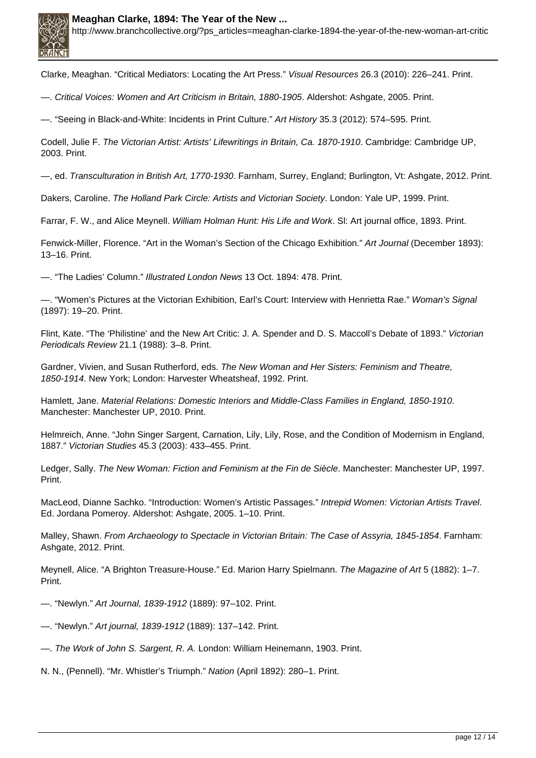

http://www.branchcollective.org/?ps\_articles=meaghan-clarke-1894-the-year-of-the-new-woman-art-critic

Clarke, Meaghan. "Critical Mediators: Locating the Art Press." Visual Resources 26.3 (2010): 226–241. Print.

—. Critical Voices: Women and Art Criticism in Britain, 1880-1905. Aldershot: Ashgate, 2005. Print.

—. "Seeing in Black-and-White: Incidents in Print Culture." Art History 35.3 (2012): 574–595. Print.

Codell, Julie F. The Victorian Artist: Artists' Lifewritings in Britain, Ca. 1870-1910. Cambridge: Cambridge UP, 2003. Print.

—, ed. Transculturation in British Art, 1770-1930. Farnham, Surrey, England; Burlington, Vt: Ashgate, 2012. Print.

Dakers, Caroline. The Holland Park Circle: Artists and Victorian Society. London: Yale UP, 1999. Print.

Farrar, F. W., and Alice Meynell. William Holman Hunt: His Life and Work. Sl: Art journal office, 1893. Print.

Fenwick-Miller, Florence. "Art in the Woman's Section of the Chicago Exhibition." Art Journal (December 1893): 13–16. Print.

—. "The Ladies' Column." Illustrated London News 13 Oct. 1894: 478. Print.

—. "Women's Pictures at the Victorian Exhibition, Earl's Court: Interview with Henrietta Rae." Woman's Signal (1897): 19–20. Print.

Flint, Kate. "The 'Philistine' and the New Art Critic: J. A. Spender and D. S. Maccoll's Debate of 1893." Victorian Periodicals Review 21.1 (1988): 3–8. Print.

Gardner, Vivien, and Susan Rutherford, eds. The New Woman and Her Sisters: Feminism and Theatre, 1850-1914. New York; London: Harvester Wheatsheaf, 1992. Print.

Hamlett, Jane. Material Relations: Domestic Interiors and Middle-Class Families in England, 1850-1910. Manchester: Manchester UP, 2010. Print.

Helmreich, Anne. "John Singer Sargent, Carnation, Lily, Lily, Rose, and the Condition of Modernism in England, 1887." Victorian Studies 45.3 (2003): 433–455. Print.

Ledger, Sally. The New Woman: Fiction and Feminism at the Fin de Siècle. Manchester: Manchester UP, 1997. Print.

MacLeod, Dianne Sachko. "Introduction: Women's Artistic Passages." Intrepid Women: Victorian Artists Travel. Ed. Jordana Pomeroy. Aldershot: Ashgate, 2005. 1–10. Print.

Malley, Shawn. From Archaeology to Spectacle in Victorian Britain: The Case of Assyria, 1845-1854. Farnham: Ashgate, 2012. Print.

Meynell, Alice. "A Brighton Treasure-House." Ed. Marion Harry Spielmann. The Magazine of Art 5 (1882): 1–7. Print.

- —. "Newlyn." Art Journal, 1839-1912 (1889): 97–102. Print.
- —. "Newlyn." Art journal, 1839-1912 (1889): 137–142. Print.
- —. The Work of John S. Sargent, R. A. London: William Heinemann, 1903. Print.
- N. N., (Pennell). "Mr. Whistler's Triumph." Nation (April 1892): 280–1. Print.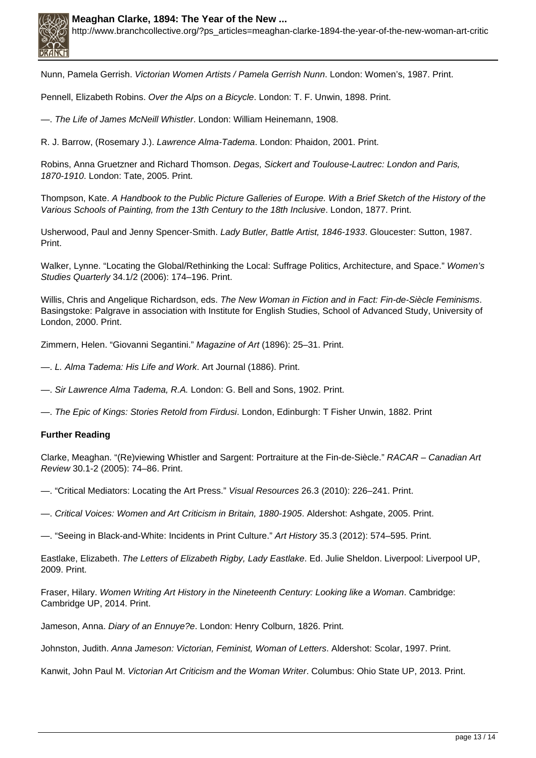

http://www.branchcollective.org/?ps\_articles=meaghan-clarke-1894-the-year-of-the-new-woman-art-critic

Nunn, Pamela Gerrish. Victorian Women Artists / Pamela Gerrish Nunn. London: Women's, 1987. Print.

Pennell, Elizabeth Robins. Over the Alps on a Bicycle. London: T. F. Unwin, 1898. Print.

—. The Life of James McNeill Whistler. London: William Heinemann, 1908.

R. J. Barrow, (Rosemary J.). Lawrence Alma-Tadema. London: Phaidon, 2001. Print.

Robins, Anna Gruetzner and Richard Thomson. Degas, Sickert and Toulouse-Lautrec: London and Paris, 1870-1910. London: Tate, 2005. Print.

Thompson, Kate. A Handbook to the Public Picture Galleries of Europe. With a Brief Sketch of the History of the Various Schools of Painting, from the 13th Century to the 18th Inclusive. London, 1877. Print.

Usherwood, Paul and Jenny Spencer-Smith. Lady Butler, Battle Artist, 1846-1933. Gloucester: Sutton, 1987. Print.

Walker, Lynne. "Locating the Global/Rethinking the Local: Suffrage Politics, Architecture, and Space." Women's Studies Quarterly 34.1/2 (2006): 174–196. Print.

Willis, Chris and Angelique Richardson, eds. The New Woman in Fiction and in Fact: Fin-de-Siècle Feminisms. Basingstoke: Palgrave in association with Institute for English Studies, School of Advanced Study, University of London, 2000. Print.

Zimmern, Helen. "Giovanni Segantini." Magazine of Art (1896): 25–31. Print.

—. L. Alma Tadema: His Life and Work. Art Journal (1886). Print.

—. Sir Lawrence Alma Tadema, R.A. London: G. Bell and Sons, 1902. Print.

—. The Epic of Kings: Stories Retold from Firdusi. London, Edinburgh: T Fisher Unwin, 1882. Print

#### **Further Reading**

Clarke, Meaghan. "(Re)viewing Whistler and Sargent: Portraiture at the Fin-de-Siècle." RACAR – Canadian Art Review 30.1-2 (2005): 74–86. Print.

—. "Critical Mediators: Locating the Art Press." Visual Resources 26.3 (2010): 226–241. Print.

—. Critical Voices: Women and Art Criticism in Britain, 1880-1905. Aldershot: Ashgate, 2005. Print.

—. "Seeing in Black-and-White: Incidents in Print Culture." Art History 35.3 (2012): 574–595. Print.

Eastlake, Elizabeth. The Letters of Elizabeth Rigby, Lady Eastlake. Ed. Julie Sheldon. Liverpool: Liverpool UP, 2009. Print.

Fraser, Hilary. Women Writing Art History in the Nineteenth Century: Looking like a Woman. Cambridge: Cambridge UP, 2014. Print.

Jameson, Anna. Diary of an Ennuye?e. London: Henry Colburn, 1826. Print.

Johnston, Judith. Anna Jameson: Victorian, Feminist, Woman of Letters. Aldershot: Scolar, 1997. Print.

Kanwit, John Paul M. Victorian Art Criticism and the Woman Writer. Columbus: Ohio State UP, 2013. Print.